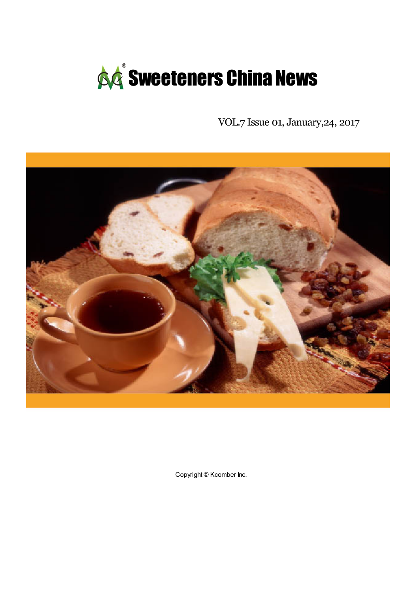

VOL.7 Issue 01, January,24, 2017



Copyright © Kcomber Inc.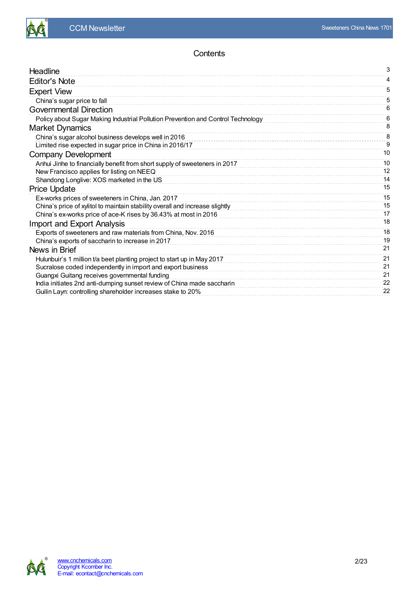

# **Contents**

| Headline                                                                         | 3  |
|----------------------------------------------------------------------------------|----|
| <b>Editor's Note</b>                                                             | 4  |
| <b>Expert View</b>                                                               | 5  |
| China's sugar price to fall                                                      | 5  |
| <b>Governmental Direction</b>                                                    | 6  |
| Policy about Sugar Making Industrial Pollution Prevention and Control Technology | 6  |
| <b>Market Dynamics</b>                                                           | 8  |
| China's sugar alcohol business develops well in 2016                             | 8  |
| Limited rise expected in sugar price in China in 2016/17                         | 9  |
| <b>Company Development</b>                                                       | 10 |
| Anhui Jinhe to financially benefit from short supply of sweeteners in 2017       | 10 |
| New Francisco applies for listing on NEEQ                                        | 12 |
| Shandong Longlive: XOS marketed in the US                                        | 14 |
| <b>Price Update</b>                                                              | 15 |
| Ex-works prices of sweeteners in China, Jan. 2017                                | 15 |
| China's price of xylitol to maintain stability overall and increase slightly     | 15 |
| China's ex-works price of ace-K rises by 36.43% at most in 2016                  | 17 |
| Import and Export Analysis                                                       | 18 |
| Exports of sweeteners and raw materials from China, Nov. 2016                    | 18 |
| China's exports of saccharin to increase in 2017                                 | 19 |
| News in Brief                                                                    | 21 |
| Hulunbuir's 1 million t/a beet planting project to start up in May 2017          | 21 |
| Sucralose coded independently in import and export business                      | 21 |
| Guangxi Guitang receives governmental funding                                    | 21 |
| India initiates 2nd anti-dumping sunset review of China made saccharin           | 22 |
| Guilin Layn: controlling shareholder increases stake to 20%                      | 22 |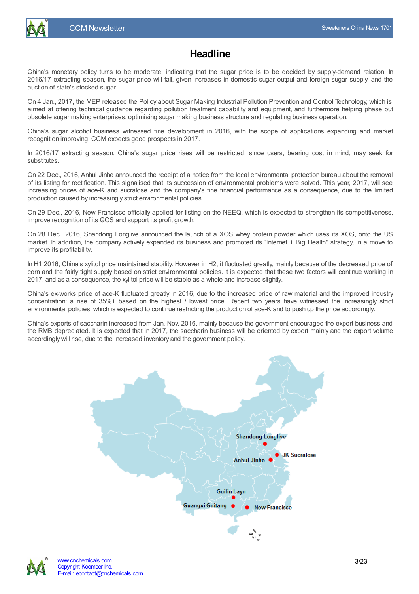

<span id="page-2-0"></span>China's monetary policy turns to be moderate, indicating that the sugar price is to be decided by supply-demand relation. In 2016/17 extracting season, the sugar price will fall, given increases in domestic sugar output and foreign sugar supply, and the auction of state's stocked sugar.

On 4 Jan., 2017, the MEP released the Policy about Sugar Making Industrial Pollution Prevention and Control Technology, which is aimed at offering technical guidance regarding pollution treatment capability and equipment, and furthermore helping phase out obsolete sugar making enterprises, optimising sugar making business structure and regulating business operation.

China's sugar alcohol business witnessed fine development in 2016, with the scope of applications expanding and market recognition improving. CCM expects good prospects in 2017.

In 2016/17 extracting season, China's sugar price rises will be restricted, since users, bearing cost in mind, may seek for substitutes.

On 22 Dec., 2016, Anhui Jinhe announced the receipt of a notice from the local environmental protection bureau about the removal of its listing for rectification. This signalised that its succession of environmental problems were solved. This year, 2017, will see increasing prices of ace-K and sucralose and the company's fine financial performance as a consequence, due to the limited production caused by increasingly strict environmental policies.

On 29 Dec., 2016, New Francisco officially applied for listing on the NEEQ, which is expected to strengthen its competitiveness, improve recognition of its GOS and support its profit growth.

On 28 Dec., 2016, Shandong Longlive announced the launch of a XOS whey protein powder which uses its XOS, onto the US market. In addition, the company actively expanded its business and promoted its "Internet + Big Health" strategy, in a move to improve its profitability.

In H1 2016, China's xylitol price maintained stability. However in H2, it fluctuated greatly, mainly because of the decreased price of corn and the fairly tight supply based on strict environmental policies. It is expected that these two factors will continue working in 2017, and as a consequence, the xylitol price will be stable as a whole and increase slightly.

China's ex-works price of ace-K fluctuated greatly in 2016, due to the increased price of raw material and the improved industry concentration: a rise of 35%+ based on the highest / lowest price. Recent two years have witnessed the increasingly strict environmental policies, which is expected to continue restricting the production of ace-K and to push up the price accordingly.

China's exports of saccharin increased from Jan.-Nov. 2016, mainly because the government encouraged the export business and the RMB depreciated. It is expected that in 2017, the saccharin business will be oriented by export mainly and the export volume accordingly will rise, due to the increased inventory and the government policy.



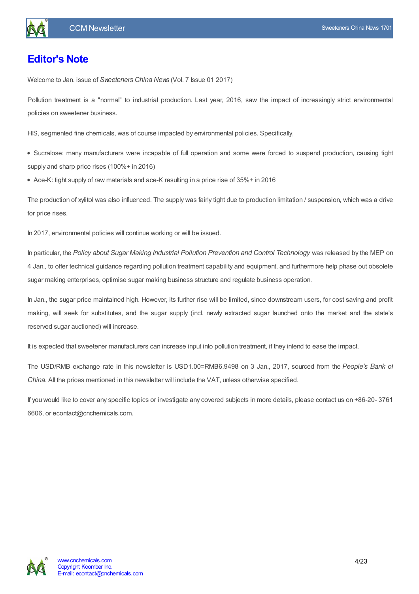# <span id="page-3-0"></span>**Editor's Note**

Welcome to Jan. issue of *Sweeteners China News* (Vol. 7 Issue 01 2017)

Pollution treatment is a "normal" to industrial production. Last year, 2016, saw the impact of increasingly strict environmental policies on sweetener business.

HIS, segmented fine chemicals, was of course impacted by environmental policies. Specifically,

Sucralose: many manufacturers were incapable of full operation and some were forced to suspend production, causing tight supply and sharp price rises (100%+ in 2016)

Ace-K: tight supply of raw materials and ace-K resulting in a price rise of 35%+ in 2016

The production of xylitol was also influenced. The supply was fairly tight due to production limitation / suspension, which was a drive for price rises.

In 2017, environmental policies will continue working or will be issued.

In particular, the *Policy about Sugar Making Industrial Pollution Prevention and Control Technology* was released by the MEP on 4 Jan., to offer technical guidance regarding pollution treatment capability and equipment, and furthermore help phase out obsolete sugar making enterprises, optimise sugar making business structure and regulate business operation.

In Jan., the sugar price maintained high. However, its further rise will be limited, since downstream users, for cost saving and profit making, will seek for substitutes, and the sugar supply (incl. newly extracted sugar launched onto the market and the state's reserved sugar auctioned) will increase.

It is expected that sweetener manufacturers can increase input into pollution treatment, if they intend to ease the impact.

The USD/RMB exchange rate in this newsletter is USD1.00=RMB6.9498 on 3 Jan., 2017, sourced from the *People's Bank of China*. All the prices mentioned in this newsletter will include the VAT, unless otherwise specified.

If you would like to cover any specific topics or investigate any covered subjects in more details, please contact us on +86-20- 3761 6606, or econtact@cnchemicals.com.

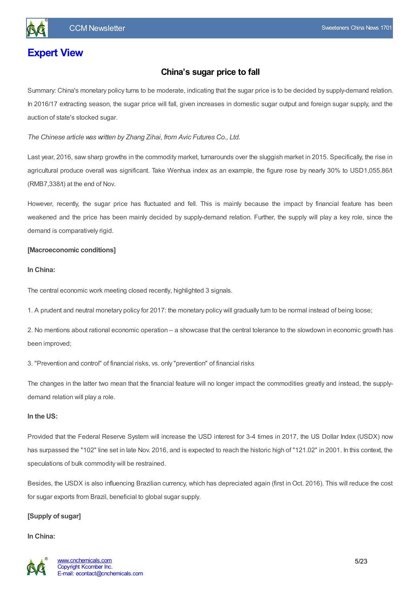# <span id="page-4-1"></span><span id="page-4-0"></span>**Expert View**

# **China's sugar price to fall**

Summary: China's monetary policy turns to be moderate, indicating that the sugar price is to be decided by supply-demand relation. In 2016/17 extracting season, the sugar price will fall, given increases in domestic sugar output and foreign sugar supply, and the auction of state's stocked sugar.

*The Chinese article was written by Zhang Zihai, from Avic Futures Co., Ltd.*

Last year, 2016, saw sharp growths in the commodity market, turnarounds over the sluggish market in 2015. Specifically, the rise in agricultural produce overall was significant. Take Wenhua index as an example, the figure rose by nearly 30% to USD1,055.86/t (RMB7,338/t) at the end of Nov.

However, recently, the sugar price has fluctuated and fell. This is mainly because the impact by financial feature has been weakened and the price has been mainly decided by supply-demand relation. Further, the supply will play a key role, since the demand is comparatively rigid.

#### **[Macroeconomic conditions]**

#### **In China:**

The central economic work meeting closed recently, highlighted 3 signals.

1. A prudent and neutral monetary policy for 2017: the monetary policy will gradually turn to be normal instead of being loose;

2. No mentions about rational economic operation – a showcase that the central tolerance to the slowdown in economic growth has been improved;

3. "Prevention and control" of financial risks, vs. only "prevention" of financial risks

The changes in the latter two mean that the financial feature will no longer impact the commodities greatly and instead, the supplydemand relation will play a role.

#### **In the US:**

Provided that the Federal Reserve System will increase the USD interest for 3-4 times in 2017, the US Dollar Index (USDX) now has surpassed the "102" line set in late Nov. 2016, and is expected to reach the historic high of "121.02" in 2001. In this context, the speculations of bulk commodity will be restrained.

Besides, the USDX is also influencing Brazilian currency, which has depreciated again (first in Oct. 2016). This will reduce the cost for sugar exports from Brazil, beneficial to global sugar supply.

#### **[Supply of sugar]**

#### **In China:**

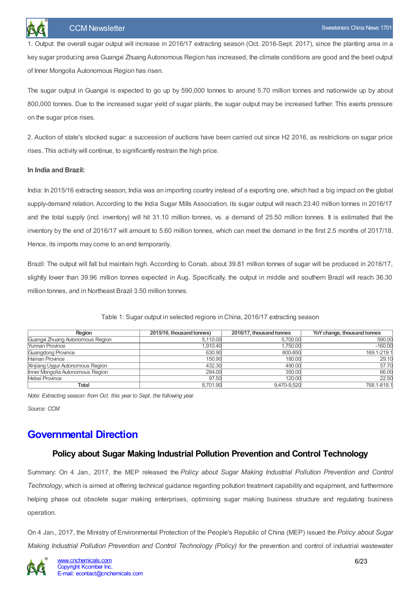1. Output: the overall sugar output will increase in 2016/17 extracting season (Oct. 2016-Sept. 2017), since the planting area in a key sugar producing area Guangxi Zhuang Autonomous Region has increased, the climate conditions are good and the beet output of Inner Mongolia Autonomous Region has risen.

The sugar output in Guangxi is expected to go up by 590,000 tonnes to around 5.70 million tonnes and nationwide up by about 800,000 tonnes. Due to the increased sugar yield of sugar plants, the sugar output may be increased further. This exerts pressure on the sugar price rises.

2. Auction of state's stocked sugar: a succession of auctions have been carried out since H2 2016, as restrictions on sugar price rises. This activity will continue, to significantly restrain the high price.

#### **In India and Brazil:**

India: In 2015/16 extracting season, India was an importing country instead of a exporting one, which had a big impact on the global supply-demand relation. According to the India Sugar Mills Association, its sugar output will reach 23.40 million tonnes in 2016/17 and the total supply (incl. inventory) will hit 31.10 million tonnes, vs. a demand of 25.50 million tonnes. It is estimated that the inventory by the end of 2016/17 will amount to 5.60 million tonnes, which can meet the demand in the first 2.5 months of 2017/18. Hence, its imports may come to an end temporarily.

Brazil: The output will fall but maintain high. According to Conab, about 39.81 million tonnes of sugar will be produced in 2016/17, slightly lower than 39.96 million tonnes expected in Aug. Specifically, the output in middle and southern Brazil will reach 36.30 million tonnes, and in Northeast Brazil 3.50 million tonnes.

| Reaion                           | 2015/16, thousand tonnes) | 2016/17, thousand tonnes | YoY change, thousand tonnes |
|----------------------------------|---------------------------|--------------------------|-----------------------------|
| Guangxi Zhuang Autonomous Region | 5.110.00                  | 5.700.00                 | 590.00                      |
| <b>Yunnan Province</b>           | 1,910.40                  | 1.750.00                 | $-160.00$                   |
| Guangdong Province               | 630.90                    | 800-850                  | 169.1-219.1                 |
| Hainan Province                  | 150.90                    | 180.00                   | 29.10                       |
| Xinjiang Uygur Autonomous Region | 432.30                    | 490.00                   | 57.70                       |
| Inner Mongolia Autonomous Region | 284.00                    | 350.00                   | 66.00                       |
| Hebei Province                   | 97.50                     | 120.00                   | 22.50                       |
| Total                            | 8.701.90                  | 9.470-9.520              | 768.1-818.1                 |

Table 1: Sugar output in selected regions in China, 2016/17 extracting season

*Note: Extracting season: from Oct. this year to Sept. the following year.*

*Source: CCM*

# <span id="page-5-1"></span><span id="page-5-0"></span>**Governmental Direction**

# **Policy about Sugar Making Industrial Pollution Prevention and Control Technology**

Summary: On 4 Jan., 2017, the MEP released the *Policy about Sugar Making Industrial Pollution Prevention and Control Technology*, which is aimed at offering technical guidance regarding pollution treatment capability and equipment, and furthermore helping phase out obsolete sugar making enterprises, optimising sugar making business structure and regulating business operation.

On 4 Jan., 2017, the Ministry of Environmental Protection of the People's Republic of China (MEP) issued the *Policy about Sugar Making Industrial Pollution Prevention and Control Technology (Policy)* for the prevention and control of industrial wastewater

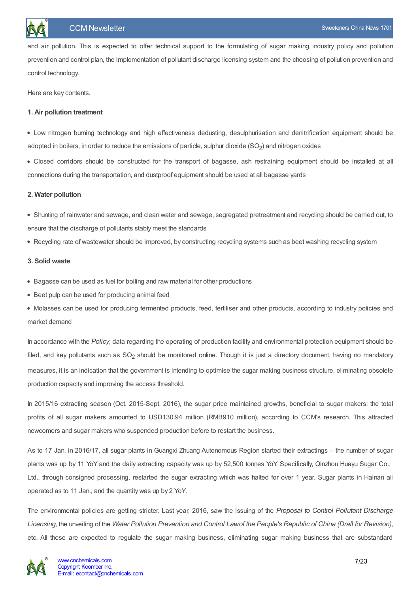and air pollution. This is expected to offer technical support to the formulating of sugar making industry policy and pollution prevention and control plan, the implementation of pollutant discharge licensing system and the choosing of pollution prevention and control technology.

Here are key contents.

#### **1. Air pollution treatment**

Low nitrogen burning technology and high effectiveness dedusting, desulphurisation and denitrification equipment should be adopted in boilers, in order to reduce the emissions of particle, sulphur dioxide (SO<sub>2</sub>) and nitrogen oxides

Closed corridors should be constructed for the transport of bagasse, ash restraining equipment should be installed at all connections during the transportation, and dustproof equipment should be used at all bagasse yards

#### **2. Water pollution**

Shunting of rainwater and sewage, and clean water and sewage, segregated pretreatment and recycling should be carried out, to ensure that the discharge of pollutants stably meet the standards

Recycling rate of wastewater should be improved, by constructing recycling systems such as beet washing recycling system

#### **3. Solid waste**

- Bagasse can be used as fuel for boiling and raw material for other productions
- Beet pulp can be used for producing animal feed

Molasses can be used for producing fermented products, feed, fertiliser and other products, according to industry policies and market demand

In accordance with the *Policy*, data regarding the operating of production facility and environmental protection equipment should be filed, and key pollutants such as  $SO<sub>2</sub>$  should be monitored online. Though it is just a directory document, having no mandatory measures, it is an indication that the government is intending to optimise the sugar making business structure, eliminating obsolete production capacity and improving the access threshold.

In 2015/16 extracting season (Oct. 2015-Sept. 2016), the sugar price maintained growths, beneficial to sugar makers: the total profits of all sugar makers amounted to USD130.94 million (RMB910 million), according to CCM's research. This attracted newcomers and sugar makers who suspended production before to restart the business.

As to 17 Jan. in 2016/17, all sugar plants in Guangxi Zhuang Autonomous Region started their extractings – the number of sugar plants was up by 11 YoY and the daily extracting capacity was up by 52,500 tonnes YoY. Specifically, Qinzhou Huayu Sugar Co., Ltd., through consigned processing, restarted the sugar extracting which was halted for over 1 year. Sugar plants in Hainan all operated as to 11 Jan., and the quantity was up by 2 YoY.

The environmental policies are getting stricter. Last year, 2016, saw the issuing of the *Proposal to Control Pollutant Discharge* Licensing, the unveiling of the Water Pollution Prevention and Control Lawof the People's Republic of China (Draft for Revision), etc. All these are expected to regulate the sugar making business, eliminating sugar making business that are substandard

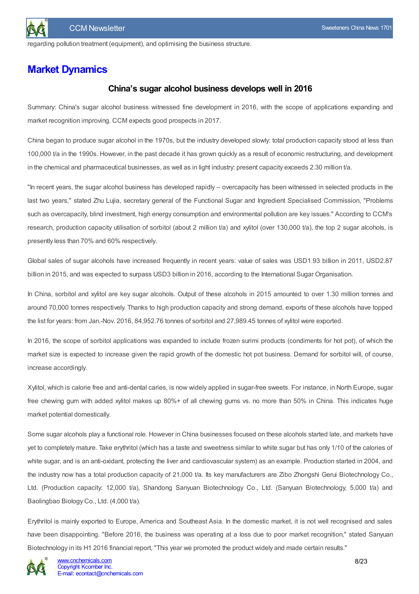

regarding pollution treatment (equipment), and optimising the business structure.

# <span id="page-7-1"></span><span id="page-7-0"></span>**Market Dynamics**

### **China's sugar alcohol business develops well in 2016**

Summary: China's sugar alcohol business witnessed fine development in 2016, with the scope of applications expanding and market recognition improving. CCM expects good prospects in 2017.

China began to produce sugar alcohol in the 1970s, but the industry developed slowly: total production capacity stood at less than 100,000 t/a in the 1990s. However, in the past decade it has grown quickly as a result of economic restructuring, and development in the chemical and pharmaceutical businesses, as well as in light industry: present capacity exceeds 2.30 million t/a.

"In recent years, the sugar alcohol business has developed rapidly – overcapacity has been witnessed in selected products in the last two years," stated Zhu Lujia, secretary general of the Functional Sugar and Ingredient Specialised Commission, "Problems such as overcapacity, blind investment, high energy consumption and environmental pollution are key issues." According to CCM's research, production capacity utilisation of sorbitol (about 2 million t/a) and xylitol (over 130,000 t/a), the top 2 sugar alcohols, is presently less than 70% and 60% respectively.

Global sales of sugar alcohols have increased frequently in recent years: value of sales was USD1.93 billion in 2011, USD2.87 billion in 2015, and was expected to surpass USD3 billion in 2016, according to the International Sugar Organisation.

In China, sorbitol and xylitol are key sugar alcohols. Output of these alcohols in 2015 amounted to over 1.30 million tonnes and around 70,000 tonnes respectively. Thanks to high production capacity and strong demand, exports of these alcohols have topped the list for years: from Jan.-Nov. 2016, 84,952.76 tonnes of sorbitol and 27,989.45 tonnes of xylitol were exported.

In 2016, the scope of sorbitol applications was expanded to include frozen surimi products (condiments for hot pot), of which the market size is expected to increase given the rapid growth of the domestic hot pot business. Demand for sorbitol will, of course, increase accordingly.

Xylitol, which is calorie free and anti-dental caries, is now widely applied in sugar-free sweets. For instance, in North Europe, sugar free chewing gum with added xylitol makes up 80%+ of all chewing gums vs. no more than 50% in China. This indicates huge market potential domestically.

Some sugar alcohols play a functional role. However in China businesses focused on these alcohols started late, and markets have yet to completely mature. Take erythritol (which has a taste and sweetness similar to white sugar but has only 1/10 of the calories of white sugar, and is an anti-oxidant, protecting the liver and cardiovascular system) as an example. Production started in 2004, and the industry now has a total production capacity of 21,000 t/a. Its key manufacturers are Zibo Zhongshi Gerui Biotechnology Co., Ltd. (Production capacity: 12,000 t/a), Shandong Sanyuan Biotechnology Co., Ltd. (Sanyuan Biotechnology, 5,000 t/a) and Baolingbao Biology Co., Ltd. (4,000 t/a).

Erythritol is mainly exported to Europe, America and Southeast Asia. In the domestic market, it is not well recognised and sales have been disappointing. "Before 2016, the business was operating at a loss due to poor market recognition," stated Sanyuan Biotechnology in its H1 2016 financial report, "This year we promoted the product widely and made certain results."

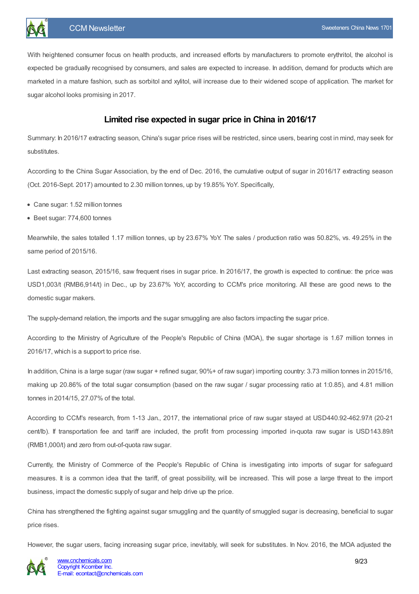

With heightened consumer focus on health products, and increased efforts by manufacturers to promote erythritol, the alcohol is expected be gradually recognised by consumers, and sales are expected to increase. In addition, demand for products which are marketed in a mature fashion, such as sorbitol and xylitol, will increase due to their widened scope of application. The market for sugar alcohol looks promising in 2017.

## **Limited rise expected in sugar price in China in 2016/17**

<span id="page-8-0"></span>Summary: In 2016/17 extracting season, China's sugar price rises will be restricted, since users, bearing cost in mind, may seek for substitutes.

According to the China Sugar Association, by the end of Dec. 2016, the cumulative output of sugar in 2016/17 extracting season (Oct. 2016-Sept. 2017) amounted to 2.30 million tonnes, up by 19.85% YoY. Specifically,

- Cane sugar: 1.52 million tonnes
- Beet sugar: 774,600 tonnes

Meanwhile, the sales totalled 1.17 million tonnes, up by 23.67% YoY. The sales / production ratio was 50.82%, vs. 49.25% in the same period of 2015/16.

Last extracting season, 2015/16, saw frequent rises in sugar price. In 2016/17, the growth is expected to continue: the price was USD1,003/t (RMB6,914/t) in Dec., up by 23.67% YoY, according to CCM's price monitoring. All these are good news to the domestic sugar makers.

The supply-demand relation, the imports and the sugar smuggling are also factors impacting the sugar price.

According to the Ministry of Agriculture of the People's Republic of China (MOA), the sugar shortage is 1.67 million tonnes in 2016/17, which is a support to price rise.

In addition, China is a large sugar (raw sugar + refined sugar, 90%+ of raw sugar) importing country: 3.73 million tonnes in 2015/16, making up 20.86% of the total sugar consumption (based on the raw sugar / sugar processing ratio at 1:0.85), and 4.81 million tonnes in 2014/15, 27.07% of the total.

According to CCM's research, from 1-13 Jan., 2017, the international price of raw sugar stayed at USD440.92-462.97/t (20-21 cent/lb). If transportation fee and tariff are included, the profit from processing imported in-quota raw sugar is USD143.89/t (RMB1,000/t) and zero from out-of-quota raw sugar.

Currently, the Ministry of Commerce of the People's Republic of China is investigating into imports of sugar for safeguard measures. It is a common idea that the tariff, of great possibility, will be increased. This will pose a large threat to the import business, impact the domestic supply of sugar and help drive up the price.

China has strengthened the fighting against sugar smuggling and the quantity of smuggled sugar is decreasing, beneficial to sugar price rises.

However, the sugar users, facing increasing sugar price, inevitably, will seek for substitutes. In Nov. 2016, the MOA adjusted the

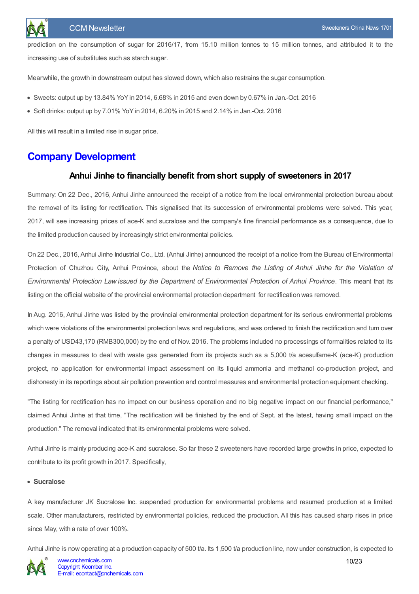prediction on the consumption of sugar for 2016/17, from 15.10 million tonnes to 15 million tonnes, and attributed it to the increasing use of substitutes such as starch sugar.

Meanwhile, the growth in downstream output has slowed down, which also restrains the sugar consumption.

- $\bullet$  Sweets: output up by 13.84% YoY in 2014, 6.68% in 2015 and even down by 0.67% in Jan.-Oct. 2016
- Soft drinks: output up by 7.01% YoYin 2014, 6.20% in 2015 and 2.14% in Jan.-Oct. 2016

All this will result in a limited rise in sugar price.

# <span id="page-9-1"></span><span id="page-9-0"></span>**Company Development**

#### **Anhui Jinhe to financially benefit from short supply of sweeteners in 2017**

Summary: On 22 Dec., 2016, Anhui Jinhe announced the receipt of a notice from the local environmental protection bureau about the removal of its listing for rectification. This signalised that its succession of environmental problems were solved. This year, 2017, will see increasing prices of ace-K and sucralose and the company's fine financial performance as a consequence, due to the limited production caused by increasingly strict environmental policies.

On 22 Dec., 2016,Anhui Jinhe Industrial Co., Ltd. (Anhui Jinhe) announced the receipt of a notice from the Bureau of Environmental Protection of Chuzhou City, Anhui Province, about the *Notice to Remove the Listing of Anhui Jinhe for the Violation of Environmental Protection Law issued by the Department of Environmental Protection of Anhui Province*. This meant that its listing on the official website of the provincial environmental protection department for rectification was removed.

In Aug. 2016, Anhui Jinhe was listed by the provincial environmental protection department for its serious environmental problems which were violations of the environmental protection laws and regulations, and was ordered to finish the rectification and turn over a penalty of USD43,170 (RMB300,000) by the end of Nov. 2016. The problems included no processings of formalities related to its changes in measures to deal with waste gas generated from its projects such as a 5,000 t/a acesulfame-K (ace-K) production project, no application for environmental impact assessment on its liquid ammonia and methanol co-production project, and dishonesty in its reportings about air pollution prevention and control measures and environmental protection equipment checking.

"The listing for rectification has no impact on our business operation and no big negative impact on our financial performance," claimed Anhui Jinhe at that time, "The rectification will be finished by the end of Sept. at the latest, having small impact on the production." The removal indicated that its environmental problems were solved.

Anhui Jinhe is mainly producing ace-K and sucralose. So far these 2 sweeteners have recorded large growths in price, expected to contribute to its profit growth in 2017. Specifically,

#### **• Sucralose**

A key manufacturer JK Sucralose Inc. suspended production for environmental problems and resumed production at a limited scale. Other manufacturers, restricted by environmental policies, reduced the production. All this has caused sharp rises in price since May, with a rate of over 100%.

Anhui Jinhe is now operating at a production capacity of 500 t/a. Its 1,500 t/a production line, now under construction, is expected to

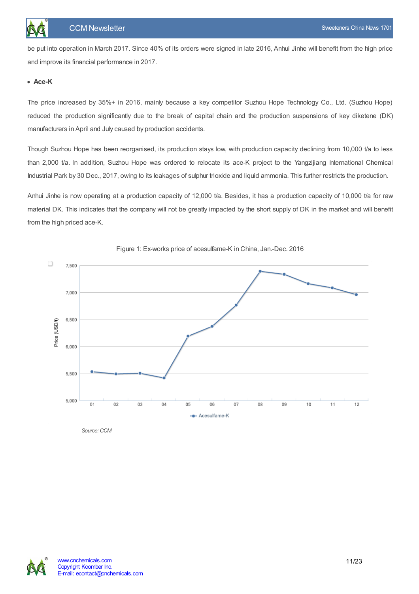be put into operation in March 2017. Since 40% of its orders were signed in late 2016, Anhui Jinhe will benefit from the high price and improve its financial performance in 2017.

#### **Ace-K**

The price increased by 35%+ in 2016, mainly because a key competitor Suzhou Hope Technology Co., Ltd. (Suzhou Hope) reduced the production significantly due to the break of capital chain and the production suspensions of key diketene (DK) manufacturers in April and July caused by production accidents.

Though Suzhou Hope has been reorganised, its production stays low, with production capacity declining from 10,000 t/a to less than 2,000 t/a. In addition, Suzhou Hope was ordered to relocate its ace-K project to the Yangzijiang International Chemical Industrial Park by 30 Dec., 2017, owing to its leakages of sulphur trioxide and liquid ammonia. This further restricts the production.

Anhui Jinhe is now operating at a production capacity of 12,000 t/a. Besides, it has a production capacity of 10,000 t/a for raw material DK. This indicates that the company will not be greatly impacted by the short supply of DK in the market and will benefit from the high priced ace-K.



#### Figure 1: Ex-works price of acesulfame-K in China, Jan.-Dec. 2016

Source: CCM

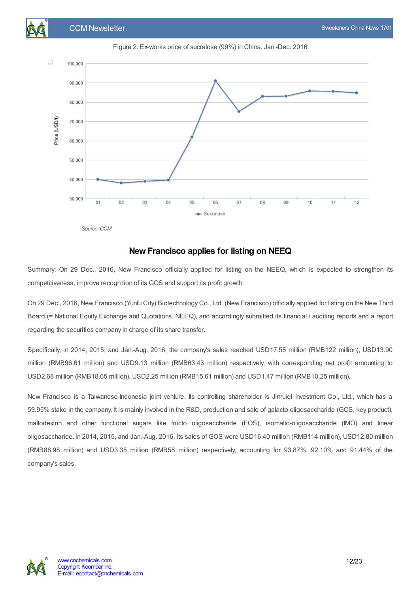



Figure 2: Ex-works price of sucralose (99%) in China, Jan.-Dec. 2016

Source: CCM

#### **New Francisco applies for listing on NEEQ**

<span id="page-11-0"></span>Summary: On 29 Dec., 2016, New Francisco officially applied for listing on the NEEQ, which is expected to strengthen its competitiveness, improve recognition of its GOS and support its profit growth.

On 29 Dec., 2016, New Francisco (Yunfu City) Biotechnology Co., Ltd. (New Francisco) officially applied for listing on the New Third Board (= National Equity Exchange and Quotations, NEEQ), and accordingly submitted its financial / auditing reports and a report regarding the securities company in charge of its share transfer.

Specifically, in 2014, 2015, and Jan.-Aug. 2016, the company's sales reached USD17.55 million (RMB122 million), USD13.90 million (RMB96.61 million) and USD9.13 million (RMB63.43 million) respectively, with corresponding net profit amounting to USD2.68 million (RMB18.65 million), USD2.25 million (RMB15.61 million) and USD1.47 million (RMB10.25 million).

New Francisco is a Taiwanese-Indonesia joint venture. Its controlling shareholder is Jinruiqi Investment Co., Ltd., which has a 59.95% stake in the company. It is mainly involved in the R&D, production and sale of galacto oligosaccharide (GOS, key product), maltodextrin and other functional sugars like fructo oligosaccharide (FOS), isomalto-oligosaccharide (IMO) and linear oligosaccharide. In 2014, 2015, and Jan.-Aug. 2016, its sales of GOS were USD16.40 million (RMB114 million), USD12.80 million (RMB88.98 million) and USD3.35 million (RMB58 million) respectively, accounting for 93.87%, 92.10% and 91.44% of the company's sales.

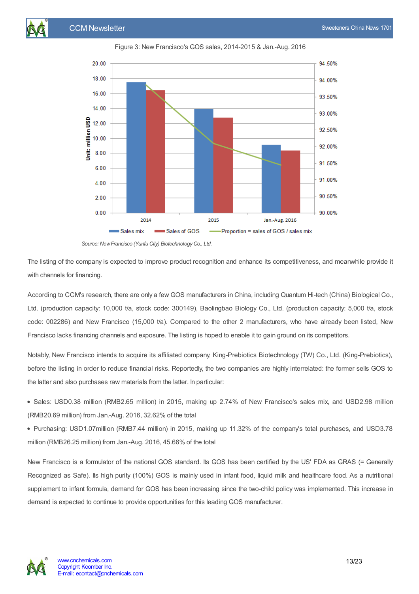

Figure 3: New Francisco's GOS sales, 2014-2015 & Jan.-Aug. 2016

The listing of the company is expected to improve product recognition and enhance its competitiveness, and meanwhile provide it with channels for financing.

According to CCM's research, there are only a few GOS manufacturers in China, including Quantum Hi-tech (China) Biological Co., Ltd. (production capacity: 10,000 t/a, stock code: 300149), Baolingbao Biology Co., Ltd. (production capacity: 5,000 t/a, stock code: 002286) and New Francisco (15,000 t/a). Compared to the other 2 manufacturers, who have already been listed, New Francisco lacks financing channels and exposure. The listing is hoped to enable it to gain ground on its competitors.

Notably, New Francisco intends to acquire its affiliated company, King-Prebiotics Biotechnology (TW) Co., Ltd. (King-Prebiotics), before the listing in order to reduce financial risks. Reportedly, the two companies are highly interrelated: the former sells GOS to the latter and also purchases raw materials from the latter. In particular:

- Sales: USD0.38 million (RMB2.65 million) in 2015, making up 2.74% of New Francisco's sales mix, and USD2.98 million (RMB20.69 million) from Jan.-Aug. 2016, 32.62% of the total
- Purchasing: USD1.07million (RMB7.44 million) in 2015, making up 11.32% of the company's total purchases, and USD3.78 million (RMB26.25 million) from Jan.-Aug. 2016, 45.66% of the total

New Francisco is a formulator of the national GOS standard. Its GOS has been certified by the US' FDA as GRAS (= Generally Recognized as Safe). Its high purity (100%) GOS is mainly used in infant food, liquid milk and healthcare food. As a nutritional supplement to infant formula, demand for GOS has been increasing since the two-child policy was implemented. This increase in demand is expected to continue to provide opportunities for this leading GOS manufacturer.



*Source:NewFrancisco (Yunfu City) BiotechnologyCo., Ltd.*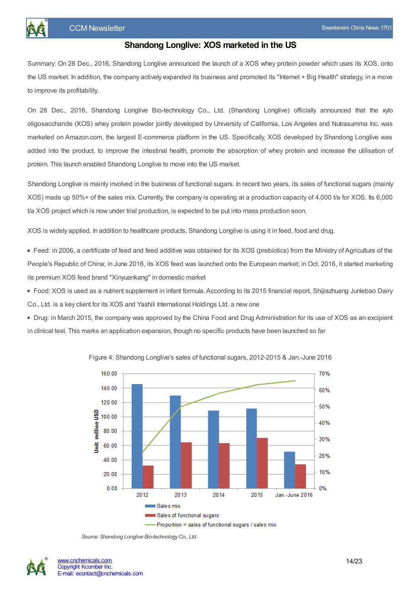

<span id="page-13-0"></span>Summary: On 28 Dec., 2016, Shandong Longlive announced the launch of a XOS whey protein powder which uses its XOS, onto the US market. In addition, the company actively expanded its business and promoted its "Internet + Big Health" strategy, in a move to improve its profitability.

On 28 Dec., 2016, Shandong Longlive Bio-technology Co., Ltd. (Shandong Longlive) officially announced that the xylo oligosaccharide (XOS) whey protein powder jointly developed by University of California, Los Angeles and Nutrasumma Inc. was marketed on Amazon.com, the largest E-commerce platform in the US. Specifically, XOS developed by Shandong Longlive was added into the product, to improve the intestinal health, promote the absorption of whey protein and increase the utilisation of protein. This launch enabled Shandong Longlive to move into the US market.

Shandong Longlive is mainly involved in the business of functional sugars. In recent two years, its sales of functional sugars (mainly XOS) made up 50%+ of the sales mix. Currently, the company is operating at a production capacity of 4,000 t/a for XOS. Its 6,000 t/a XOS project which is now under trial production, is expected to be put into mass production soon.

XOS is widely applied. In addition to healthcare products, Shandong Longlive is using it in feed, food and drug.

Feed: in 2006, a certificate of feed and feed additive was obtained for its XOS (prebiotics) from the Ministry of Agriculture of the People's Republic of China; in June 2016, its XOS feed was launched onto the European market; in Oct. 2016, it started marketing its premium XOS feed brand "Xinyuankang" in domestic market

Food: XOS is used as a nutrient supplement in infant formula. According to its 2015 financial report, Shijiazhuang Junlebao Dairy Co., Ltd. is a key client for its XOS and Yashili International Holdings Ltd. a new one

Drug: in March 2015, the company was approved by the China Food and Drug Administration for its use of XOS as an excipient in clinical test. This marks an application expansion, though no specific products have been launched so far



Figure 4: Shandong Longlive's sales of functional sugars, 2012-2015 & Jan.-June 2016



*Source: Shandong Longlive Bio-technologyCo., Ltd.*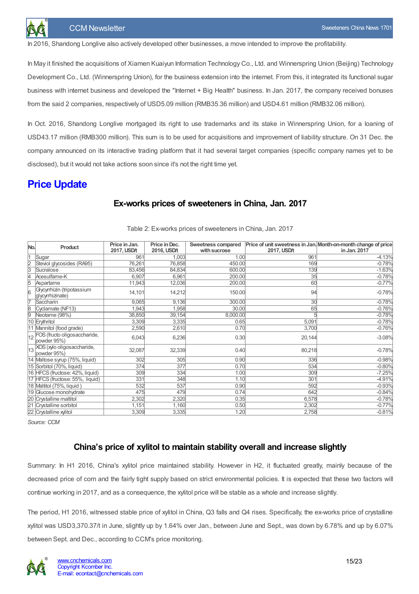In 2016, Shandong Longlive also actively developed other businesses, a move intended to improve the profitability.

In May it finished the acquisitions of Xiamen Kuaiyun Information Technology Co., Ltd. and Winnerspring Union (Beijing) Technology Development Co., Ltd. (Winnerspring Union), for the business extension into the internet. From this, it integrated its functional sugar business with internet business and developed the "Internet + Big Health" business. In Jan. 2017, the company received bonuses from the said 2 companies, respectively of USD5.09 million (RMB35.36 million) and USD4.61 million (RMB32.06 million).

In Oct. 2016, Shandong Longlive mortgaged its right to use trademarks and its stake in Winnerspring Union, for a loaning of USD43.17 million (RMB300 million). This sum is to be used for acquisitions and improvement of liability structure. On 31 Dec. the company announced on its interactive trading platform that it had several target companies (specific company names yet to be disclosed), but it would not take actions soon since it's not the right time yet.

# <span id="page-14-1"></span><span id="page-14-0"></span>**Price Update**

# **Ex-works prices of sweeteners in China, Jan. 2017**

| No.            | Product                                         | Price in Jan.<br>2017, USD/t | Price in Dec.<br>2016, USD/t | Sweetness compared<br>with sucrose | 2017, USD/t | Price of unit sweetness in Jan. Month-on-month change of price<br>in Jan. 2017 |
|----------------|-------------------------------------------------|------------------------------|------------------------------|------------------------------------|-------------|--------------------------------------------------------------------------------|
|                | Sugar                                           | 961                          | 1,003                        | 1.00                               | 961         | $-4.13%$                                                                       |
| $\frac{2}{3}$  | Steviol glycosides (RA95)                       | 76,261                       | 76,858                       | 450.00                             | 169         | $-0.78%$                                                                       |
|                | Sucralose                                       | 83,456                       | 84,834                       | 600.00                             | 139         | $-1.63%$                                                                       |
| 4              | Acesulfame-K                                    | 6,907                        | 6,961                        | 200.00                             | 35          | $-0.78%$                                                                       |
| $\overline{5}$ | Aspartame                                       | 11,943                       | 12,036                       | 200.00                             | 60          | $-0.77%$                                                                       |
| l6             | Glycyrrhizin (tripotassium<br>glycyrrhizinate)  | 14,101                       | 14,212                       | 150.00                             | 94          | $-0.78%$                                                                       |
| 17             | Saccharin                                       | 9,065                        | 9,136                        | 300.00                             | 30          | $-0.78%$                                                                       |
| 8              | Cyclamate (NF13)                                | 1,943                        | 1,958                        | 30.00                              | 65          | $-0.76%$                                                                       |
| 9              | Neotame (98%)                                   | 38,850                       | 39,154                       | 8,000.00                           |             | $-0.78%$                                                                       |
|                | 10 Erythritol                                   | 3,309                        | 3,335                        | 0.65                               | 5,091       | $-0.78%$                                                                       |
|                | 11 Mannitol (food grade)                        | 2,590                        | 2,610                        | 0.70                               | 3,700       | $-0.76%$                                                                       |
|                | 12 FOS (fructo oligos accharide,<br>powder 95%) | 6,043                        | 6,236                        | 0.30                               | 20,144      | $-3.08%$                                                                       |
|                | 13 XOS (xylo oligosaccharide,<br>powder 95%)    | 32,087                       | 32,339                       | 0.40                               | 80,218      | $-0.78%$                                                                       |
|                | 14 Maltose syrup (75%, liquid)                  | 302                          | 305                          | 0.90                               | 336         | $-0.98%$                                                                       |
|                | 15 Sorbitol (70%, liquid)                       | 374                          | 377                          | 0.70                               | 534         | $-0.80%$                                                                       |
|                | 16 HFCS (fructose: 42%, liquid)                 | 309                          | 334                          | 1.00                               | 309         | $-7.25%$                                                                       |
|                | 17 HFCS (fructose: 55%, liquid)                 | 331                          | 348                          | 1.10                               | 301         | $-4.91%$                                                                       |
|                | 18 Maltitol (75%, liquid)                       | 532                          | 537                          | 0.90                               | 592         | $-0.93%$                                                                       |
|                | 19 Glucose monohydrate                          | 475                          | 479                          | 0.74                               | 642         | $-0.84%$                                                                       |
|                | 20 Crystalline maltitol                         | 2,302                        | 2,320                        | 0.35                               | 6,578       | $-0.78%$                                                                       |
|                | 21 Crystalline sorbitol                         | 1,151                        | 1,160                        | 0.50                               | 2,302       | $-0.77%$                                                                       |
|                | 22 Crystalline xylitol                          | 3,309                        | 3,335                        | 1.20                               | 2,758       | $-0.81%$                                                                       |

Table 2: Ex-works prices of sweeteners in China, Jan. 2017

*Source: CCM*

## **China's price of xylitol to maintain stability overall and increase slightly**

<span id="page-14-2"></span>Summary: In H1 2016, China's xylitol price maintained stability. However in H2, it fluctuated greatly, mainly because of the decreased price of corn and the fairly tight supply based on strict environmental policies. It is expected that these two factors will continue working in 2017, and as a consequence, the xylitol price will be stable as a whole and increase slightly.

The period, H1 2016, witnessed stable price of xylitol in China, Q3 falls and Q4 rises. Specifically, the ex-works price of crystalline xylitol was USD3,370.37/t in June, slightly up by 1.64% over Jan., between June and Sept., was down by 6.78% and up by 6.07% between Sept. and Dec., according to CCM's price monitoring.

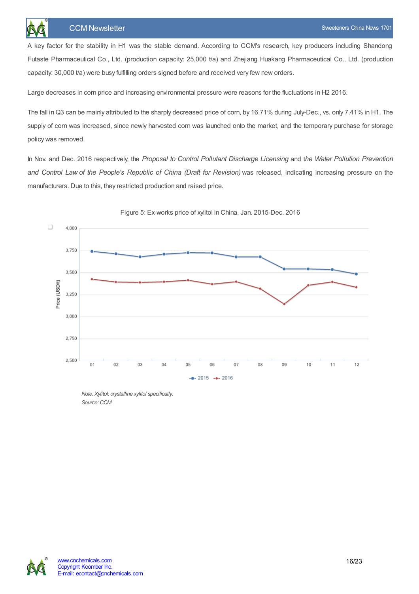A key factor for the stability in H1 was the stable demand. According to CCM's research, key producers including Shandong Futaste Pharmaceutical Co., Ltd. (production capacity: 25,000 t/a) and Zheijang Huakang Pharmaceutical Co., Ltd. (production capacity: 30,000 t/a) were busy fulfilling orders signed before and received very few new orders.

Large decreases in corn price and increasing environmental pressure were reasons for the fluctuations in H2 2016.

The fall in Q3 can be mainly attributed to the sharply decreased price of corn, by 16.71% during July-Dec., vs. only 7.41% in H1. The supply of corn was increased, since newly harvested corn was launched onto the market, and the temporary purchase for storage policy was removed.

In Nov. and Dec. 2016 respectively, the *Proposal to Control Pollutant Discharge Licensing* and t*he Water Pollution Prevention and Control Law of the People's Republic of China (Draft for Revision)* was released, indicating increasing pressure on the manufacturers. Due to this, they restricted production and raised price.



Figure 5: Ex-works price of xylitol in China, Jan. 2015-Dec. 2016

*Note: Xylitol: crystalline xylitol specifically.* Source: CCM

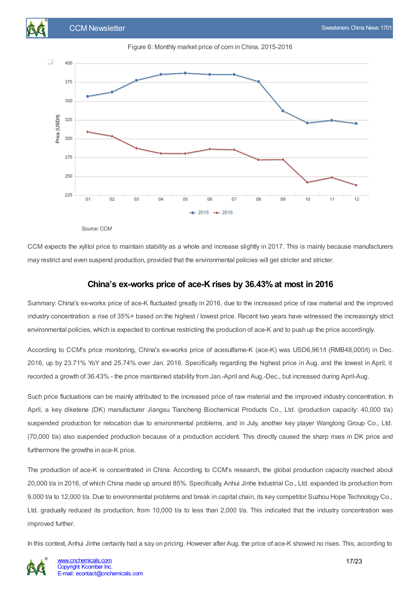



*Source:CCM*

CCM expects the xylitol price to maintain stability as a whole and increase slightly in 2017. This is mainly because manufacturers may restrict and even suspend production, provided that the environmental policies will get stricter and stricter.

## **China's ex-works price of ace-K rises by 36.43% at most in 2016**

<span id="page-16-0"></span>Summary: China's ex-works price of ace-K fluctuated greatly in 2016, due to the increased price of raw material and the improved industry concentration: a rise of 35%+ based on the highest / lowest price. Recent two years have witnessed the increasingly strict environmental policies, which is expected to continue restricting the production of ace-K and to push up the price accordingly.

According to CCM's price monitoring, China's ex-works price of acesulfame-K (ace-K) was USD6,961/t (RMB48,000/t) in Dec. 2016, up by 23.71% YoY and 25.74% over Jan. 2016. Specifically regarding the highest price in Aug. and the lowest in April, it recorded a growth of 36.43% - the price maintained stability from Jan.-April and Aug.-Dec., but increased during April-Aug.

Such price fluctuations can be mainly attributed to the increased price of raw material and the improved industry concentration. In April, a key diketene (DK) manufacturer Jiangsu Tiancheng Biochemical Products Co., Ltd. (production capacity: 40,000 t/a) suspended production for relocation due to environmental problems, and in July, another key player Wanglong Group Co., Ltd. (70,000 t/a) also suspended production because of a production accident. This directly caused the sharp rises in DK price and furthermore the growths in ace-K price.

The production of ace-K is concentrated in China. According to CCM's research, the global production capacity reached about 20,000 t/a in 2016, of which China made up around 85%. Specifically, Anhui Jinhe Industrial Co., Ltd. expanded its production from 9,000 t/a to 12,000 t/a. Due to environmental problems and break in capital chain, its key competitor Suzhou Hope Technology Co., Ltd. gradually reduced its production, from 10,000 t/a to less than 2,000 t/a. This indicated that the industry concentration was improved further.

In this context,Anhui Jinhe certainly had a say on pricing. However after Aug. the price of ace-K showed no rises. This, according to

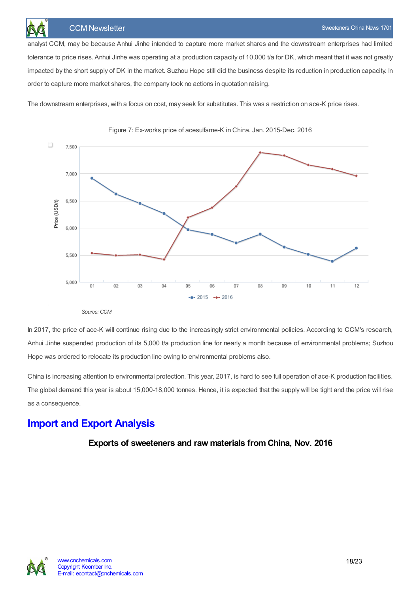

analyst CCM, may be because Anhui Jinhe intended to capture more market shares and the downstream enterprises had limited tolerance to price rises. Anhui Jinhe was operating at a production capacity of 10,000 t/a for DK, which meant that it was not greatly impacted by the short supply of DK in the market. Suzhou Hope still did the business despite its reduction in production capacity. In order to capture more market shares, the company took no actions in quotation raising.

The downstream enterprises, with a focus on cost, may seek for substitutes. This was a restriction on ace-K price rises.





*Source:CCM*

In 2017, the price of ace-K will continue rising due to the increasingly strict environmental policies. According to CCM's research, Anhui Jinhe suspended production of its 5,000 t/a production line for nearly a month because of environmental problems; Suzhou Hope was ordered to relocate its production line owing to environmental problems also.

China is increasing attention to environmental protection. This year, 2017, is hard to see full operation of ace-K production facilities. The global demand this year is about 15,000-18,000 tonnes. Hence, it is expected that the supply will be tight and the price will rise as a consequence.

# <span id="page-17-1"></span><span id="page-17-0"></span>**Import and Export Analysis**

**Exports of sweeteners and raw materials from China, Nov. 2016**

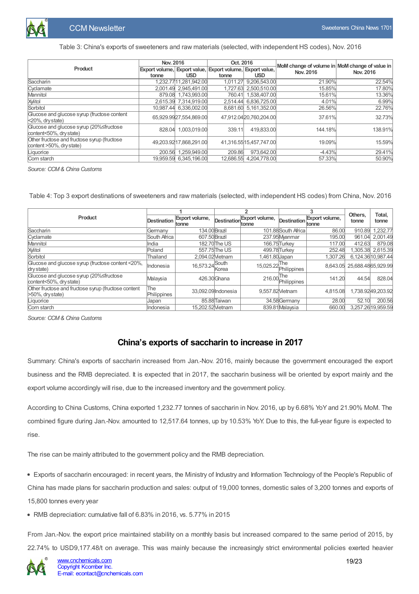

#### Table 3: China's exports of sweeteners and raw materials (selected, with independent HS codes), Nov. 2016

|                                                                         | Nov. 2016 |                        | Oct. 2016                                                          |                         | MoM change of volume in MoM change of value in |           |  |
|-------------------------------------------------------------------------|-----------|------------------------|--------------------------------------------------------------------|-------------------------|------------------------------------------------|-----------|--|
| Product                                                                 | tonne     | <b>USD</b>             | Export volume, Export value, Export volume, Export value,<br>tonne | <b>USD</b>              | Nov. 2016                                      | Nov. 2016 |  |
| Saccharin                                                               |           | 1,232.7711,281,942.00  | 1.011.27                                                           | 9,206,543.00            | 21.90%                                         | 22.54%    |  |
| Cyclamate                                                               |           | 2.001.49 2.945.491.00  | 1.727.63                                                           | 2.500.510.00            | 15.85%                                         | 17.80%    |  |
| Mannitol                                                                |           | 879.08 1.743.993.00    | 760.41                                                             | 1.538.407.00            | 15.61%                                         | 13.36%    |  |
| Xylitol                                                                 |           | 2,615.39 7,314,919.00  | 2.514.44                                                           | 6.836.725.00            | 4.01%                                          | 6.99%     |  |
| Sorbitol                                                                |           | 10,987.44 6,336,002.00 |                                                                    | 8,681.60 5,161,352.00   | 26.56%                                         | 22.76%    |  |
| Glucose and glucose syrup (fructose content<br>$ 20\%$ , dry state)     |           | 65.929.9927.554.869.00 |                                                                    | 47.912.0420.760.204.00  | 37.61%                                         | 32.73%    |  |
| Glucose and glucose syrup (20%≤fructose<br>content<50%, dry state)      |           | 828.04 1.003.019.00    | 339.11                                                             | 419.833.00              | 144.18%                                        | 138.91%   |  |
| Other fructose and fructose syrup (fructose<br>content >50%, dry state) |           | 49,203.9217,868,291.00 |                                                                    | 41,316.55 15,457,747.00 | 19.09%                                         | 15.59%    |  |
| Liquorice                                                               | 200.56    | 1.259.949.00           | 209.86                                                             | 973.642.00              | $-4.43%$                                       | 29.41%    |  |
| Corn starch                                                             |           | 19,959.59 6,345,196.00 | 12.686.55                                                          | 4.204.778.00            | 57.33%                                         | 50.90%    |  |

*Source: CCM& China Customs*

Table 4: Top 3 export destinations of sweeteners and raw materials (selected, with independent HS codes) from China, Nov. 2016

|                                                                             |                    |                            |                           |                              |                     |                         | Others,                      | Total,             |
|-----------------------------------------------------------------------------|--------------------|----------------------------|---------------------------|------------------------------|---------------------|-------------------------|------------------------------|--------------------|
| Product                                                                     | Destination        | Export volume,<br>tonne    | Destination <b>France</b> | Export volume,               | Destination         | Export volume,<br>tonne | tonne                        | tonne              |
| Saccharin                                                                   | Germany            | 134.00 Brazil              |                           |                              | 101.88 South Africa | 86.00                   | 910.89                       | 1.232.77           |
| Cyclamate                                                                   | South Africa       | 607.50 Brazil              |                           |                              | 237.95 Myanmar      | 195.00                  | 961.04                       | 2,001.49           |
| Mannitol                                                                    | llndia             |                            | 182.70 The US             | 166.75Turkev                 |                     | 117.00                  | 412.63                       | 879.08             |
| Xylitol                                                                     | Poland             |                            | 557.75 The US             | 499.78Turkey                 |                     | 252.48                  | 1.305.38                     | 2.615.39           |
| Sorbitol                                                                    | Thailand           | 2.094.02Metnam             |                           | .461.80 Japan                |                     | 1.307.26                |                              | 6,124.36 10,987.44 |
| Glucose and glucose syrup (fructose content <20%,<br>dry state)             | Indonesia          | 16,573.24 <sup>South</sup> | Korea                     | 15,025.22 The<br>Philippines |                     |                         | 8.643.05 25.688.48 65.929.99 |                    |
| Glucose and glucose syrup (20%≤fructose<br>content<50%, dry state)          | Malaysia           |                            | 426.30 Ghana              | 216.00 The                   | Philippines         | 141.20                  | 44.54                        | 828.04             |
| Other fructose and fructose syrup (fructose content<br>$>50\%$ , dry state) | The<br>Philippines |                            | 33.092.09 Indonesia       | 9.557.82 Metnam              |                     | 4.815.08                |                              | 1,738.9249,203.92  |
| <b>ILiquorice</b>                                                           | Japan              |                            | 85.88 Taiwan              |                              | 34.58 Germany       | 28.00                   | 52.10                        | 200.56             |
| Corn starch                                                                 | <b>I</b> ndonesia  | 15.202.52Metnam            |                           |                              | 839.81 Malaysia     | 660.00                  |                              | 3,257.26 19,959.59 |

*Source: CCM& China Customs*

## **China's exports of saccharin to increase in 2017**

<span id="page-18-0"></span>Summary: China's exports of saccharin increased from Jan.-Nov. 2016, mainly because the government encouraged the export business and the RMB depreciated. It is expected that in 2017, the saccharin business will be oriented by export mainly and the export volume accordingly will rise, due to the increased inventory and the government policy.

According to China Customs, China exported 1,232.77 tonnes of saccharin in Nov. 2016, up by 6.68% YoY and 21.90% MoM. The combined figure during Jan.-Nov. amounted to 12,517.64 tonnes, up by 10.53% YoY. Due to this, the full-year figure is expected to rise.

The rise can be mainly attributed to the government policy and the RMB depreciation.

Exports of saccharin encouraged: in recent years, the Ministry of Industry and Information Technology of the People's Republic of China has made plans for saccharin production and sales: output of 19,000 tonnes, domestic sales of 3,200 tonnes and exports of 15,800 tonnes every year

RMB depreciation: cumulative fall of 6.83% in 2016, vs. 5.77% in 2015

From Jan.-Nov. the export price maintained stability on a monthly basis but increased compared to the same period of 2015, by 22.74% to USD9,177.48/t on average. This was mainly because the increasingly strict environmental policies exerted heavier

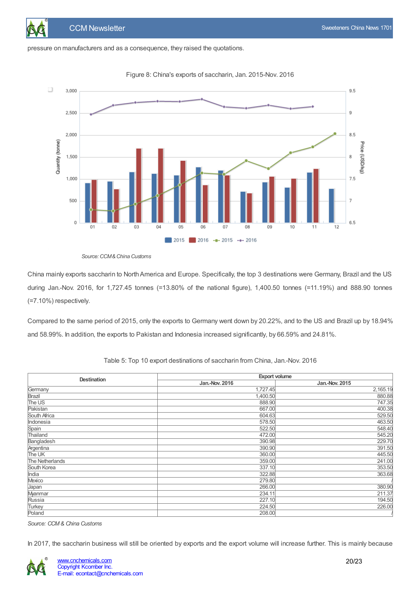pressure on manufacturers and as a consequence, they raised the quotations.



Figure 8: China's exports of saccharin, Jan. 2015-Nov. 2016

*Source:CCM&China Customs*

China mainly exports saccharin to NorthAmerica and Europe. Specifically, the top 3 destinations were Germany, Brazil and the US during Jan.-Nov. 2016, for 1,727.45 tonnes (=13.80% of the national figure), 1,400.50 tonnes (=11.19%) and 888.90 tonnes (=7.10%) respectively.

Compared to the same period of 2015, only the exports to Germany went down by 20.22%, and to the US and Brazil up by 18.94% and 58.99%. In addition, the exports to Pakistan and Indonesia increased significantly, by 66.59% and 24.81%.

| <b>Destination</b> | <b>Export volume</b> |                |  |  |  |  |
|--------------------|----------------------|----------------|--|--|--|--|
|                    | Jan.-Nov. 2016       | Jan.-Nov. 2015 |  |  |  |  |
| Germany            | 1,727.45             | 2,165.19       |  |  |  |  |
| Brazil             | 1,400.50             | 880.88         |  |  |  |  |
| The US             | 888.90               | 747.35         |  |  |  |  |
| Pakistan           | 667.00               | 400.38         |  |  |  |  |
| South Africa       | 604.63               | 529.50         |  |  |  |  |
| Indonesia          | 578.50               | 463.50         |  |  |  |  |
| Spain              | 522.50               | 548.40         |  |  |  |  |
| Thailand           | 472.00               | 545.20         |  |  |  |  |
| Bangladesh         | 390.98               | 229.70         |  |  |  |  |
| Argentina          | 390.90               | 391.50         |  |  |  |  |
| The UK             | 360.00               | 445.50         |  |  |  |  |
| The Netherlands    | 359.00               | 241.00         |  |  |  |  |
| South Korea        | 337.10               | 353.50         |  |  |  |  |
| India              | 322.88               | 363.68         |  |  |  |  |
| Mexico             | 279.80               |                |  |  |  |  |
| Japan              | 266.00               | 380.90         |  |  |  |  |
| Myanmar            | 234.11               | 211.37         |  |  |  |  |
| Russia             | 227.10               | 194.50         |  |  |  |  |
| Turkey             | 224.50               | 226.00         |  |  |  |  |
| Poland             | 208.00               |                |  |  |  |  |

Table 5: Top 10 export destinations of saccharin from China, Jan.-Nov. 2016

*Source: CCM& China Customs*

In 2017, the saccharin business will still be oriented by exports and the export volume will increase further. This is mainly because

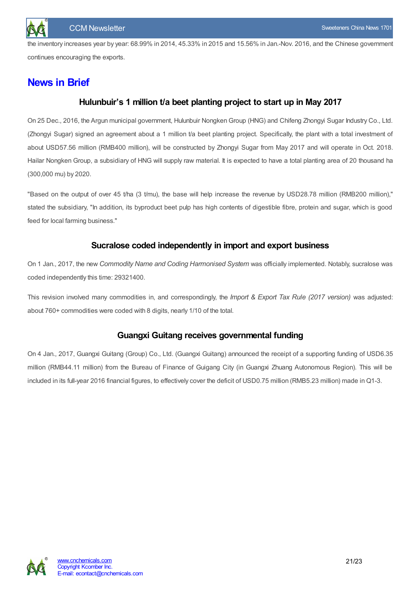the inventory increases year by year: 68.99% in 2014, 45.33% in 2015 and 15.56% in Jan.-Nov. 2016, and the Chinese government continues encouraging the exports.

# <span id="page-20-1"></span><span id="page-20-0"></span>**News in Brief**

# **Hulunbuir's 1 million t/a beet planting project to start up in May 2017**

On 25 Dec., 2016, the Argun municipal government, Hulunbuir Nongken Group (HNG) and Chifeng Zhongyi Sugar Industry Co., Ltd. (Zhongyi Sugar) signed an agreement about a 1 million t/a beet planting project. Specifically, the plant with a total investment of about USD57.56 million (RMB400 million), will be constructed by Zhongyi Sugar from May 2017 and will operate in Oct. 2018. Hailar Nongken Group, a subsidiary of HNG will supply raw material. It is expected to have a total planting area of 20 thousand ha (300,000 mu) by 2020.

"Based on the output of over 45 t/ha (3 t/mu), the base will help increase the revenue by USD28.78 million (RMB200 million)," stated the subsidiary, "In addition, its byproduct beet pulp has high contents of digestible fibre, protein and sugar, which is good feed for local farming business."

## **Sucralose coded independently in import and export business**

<span id="page-20-2"></span>On 1 Jan., 2017, the new *Commodity Name and Coding Harmonised System* was officially implemented. Notably, sucralose was coded independently this time: 29321400.

This revision involved many commodities in, and correspondingly, the *Import & Export Tax Rule (2017 version)* was adjusted: about 760+ commodities were coded with 8 digits, nearly 1/10 of the total.

# **Guangxi Guitang receives governmental funding**

<span id="page-20-3"></span>On 4 Jan., 2017, Guangxi Guitang (Group) Co., Ltd. (Guangxi Guitang) announced the receipt of a supporting funding of USD6.35 million (RMB44.11 million) from the Bureau of Finance of Guigang City (in Guangxi Zhuang Autonomous Region). This will be included in its full-year 2016 financial figures, to effectively cover the deficit of USD0.75 million (RMB5.23 million) made in Q1-3.

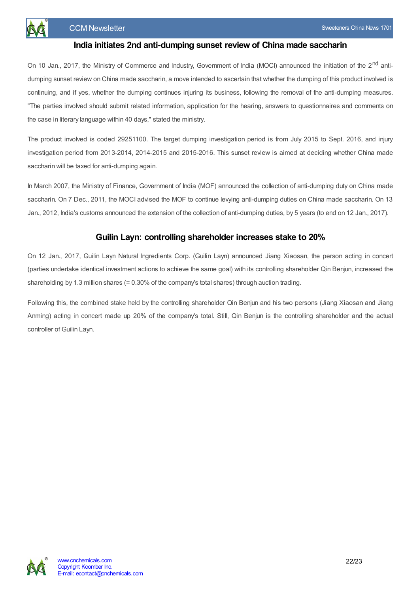

#### **India initiates 2nd anti-dumping sunset review of China made saccharin**

<span id="page-21-0"></span>On 10 Jan., 2017, the Ministry of Commerce and Industry, Government of India (MOCI) announced the initiation of the 2<sup>nd</sup> antidumping sunset review on China made saccharin, a move intended to ascertain that whether the dumping of this product involved is continuing, and if yes, whether the dumping continues injuring its business, following the removal of the anti-dumping measures. "The parties involved should submit related information, application for the hearing, answers to questionnaires and comments on the case in literary language within 40 days," stated the ministry.

The product involved is coded 29251100. The target dumping investigation period is from July 2015 to Sept. 2016, and injury investigation period from 2013-2014, 2014-2015 and 2015-2016. This sunset review is aimed at deciding whether China made saccharin will be taxed for anti-dumping again.

In March 2007, the Ministry of Finance, Government of India (MOF) announced the collection of anti-dumping duty on China made saccharin. On 7 Dec., 2011, the MOCI advised the MOF to continue levying anti-dumping duties on China made saccharin. On 13 Jan., 2012, India's customs announced the extension of the collection of anti-dumping duties, by 5 years (to end on 12 Jan., 2017).

## **Guilin Layn: controlling shareholder increases stake to 20%**

<span id="page-21-1"></span>On 12 Jan., 2017, Guilin Layn Natural Ingredients Corp. (Guilin Layn) announced Jiang Xiaosan, the person acting in concert (parties undertake identical investment actions to achieve the same goal) with its controlling shareholder Qin Benjun, increased the shareholding by 1.3 million shares (= 0.30% of the company's total shares) through auction trading.

Following this, the combined stake held by the controlling shareholder Qin Benjun and his two persons (Jiang Xiaosan and Jiang Anming) acting in concert made up 20% of the company's total. Still, Qin Benjun is the controlling shareholder and the actual controller of Guilin Layn.